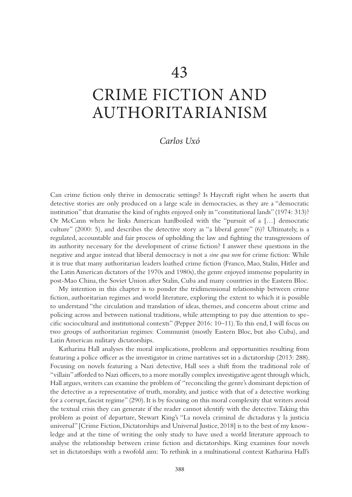# CRIME FICTION AND AUTHORITARIANISM

## *Carlos Uxó*

Can crime fiction only thrive in democratic settings? Is Haycraft right when he asserts that detective stories are only produced on a large scale in democracies, as they are a "democratic institution" that dramatise the kind of rights enjoyed only in "constitutional lands" (1974: 313)? Or McCann when he links American hardboiled with the "pursuit of a […] democratic culture" (2000: 5), and describes the detective story as "a liberal genre" (6)? Ultimately, is a regulated, accountable and fair process of upholding the law and fighting the transgressions of its authority necessary for the development of crime fiction? I answer these questions in the negative and argue instead that liberal democracy is not a *sine qua non* for crime fiction: While it is true that many authoritarian leaders loathed crime fiction (Franco, Mao, Stalin, Hitler and the Latin American dictators of the 1970s and 1980s), the genre enjoyed immense popularity in post-Mao China, the Soviet Union after Stalin, Cuba and many countries in the Eastern Bloc.

My intention in this chapter is to ponder the tridimensional relationship between crime fiction, authoritarian regimes and world literature, exploring the extent to which it is possible to understand "the circulation and translation of ideas, themes, and concerns about crime and policing across and between national traditions, while attempting to pay due attention to specific sociocultural and institutional contexts" (Pepper 2016: 10–11). To this end, I will focus on two groups of authoritarian regimes: Communist (mostly Eastern Bloc, but also Cuba), and Latin American military dictatorships.

Katharina Hall analyses the moral implications, problems and opportunities resulting from featuring a police officer as the investigator in crime narratives set in a dictatorship (2013: 288). Focusing on novels featuring a Nazi detective, Hall sees a shift from the traditional role of "villain" afforded to Nazi officers, to a more morally complex investigative agent through which, Hall argues, writers can examine the problem of "reconciling the genre's dominant depiction of the detective as a representative of truth, morality, and justice with that of a detective working for a corrupt, fascist regime" (290). It is by focusing on this moral complexity that writers avoid the textual crisis they can generate if the reader cannot identify with the detective. Taking this problem as point of departure, Stewart King's "La novela criminal de dictaduras y la justicia universal" [Crime Fiction, Dictatorships and Universal Justice, 2018] is to the best of my knowledge and at the time of writing the only study to have used a world literature approach to analyse the relationship between crime fiction and dictatorships. King examines four novels set in dictatorships with a twofold aim: To rethink in a multinational context Katharina Hall's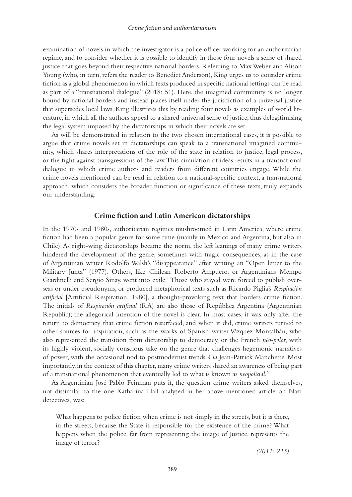examination of novels in which the investigator is a police officer working for an authoritarian regime, and to consider whether it is possible to identify in those four novels a sense of shared justice that goes beyond their respective national borders. Referring to Max Weber and Alison Young (who, in turn, refers the reader to Benedict Anderson), King urges us to consider crime fiction as a global phenomenon in which texts produced in specific national settings can be read as part of a "transnational dialogue" (2018: 51). Here, the imagined community is no longer bound by national borders and instead places itself under the jurisdiction of a universal justice that supersedes local laws. King illustrates this by reading four novels as examples of world literature, in which all the authors appeal to a shared universal sense of justice, thus delegitimising the legal system imposed by the dictatorships in which their novels are set.

As will be demonstrated in relation to the two chosen international cases, it is possible to argue that crime novels set in dictatorships can speak to a transnational imagined community, which shares interpretations of the role of the state in relation to justice, legal process, or the fight against transgressions of the law. This circulation of ideas results in a transnational dialogue in which crime authors and readers from different countries engage. While the crime novels mentioned can be read in relation to a national-specific context, a transnational approach, which considers the broader function or significance of these texts, truly expands our understanding.

#### **Crime fiction and Latin American dictatorships**

In the 1970s and 1980s, authoritarian regimes mushroomed in Latin America, where crime fiction had been a popular genre for some time (mainly in Mexico and Argentina, but also in Chile). As right-wing dictatorships became the norm, the left leanings of many crime writers hindered the development of the genre, sometimes with tragic consequences, as in the case of Argentinian writer Rodolfo Walsh's "disappearance" after writing an "Open letter to the Military Junta" (1977). Others, like Chilean Roberto Ampuero, or Argentinians Mempo Giardinelli and Sergio Sinay, went into exile.1 Those who stayed were forced to publish overseas or under pseudonyms, or produced metaphorical texts such as Ricardo Piglia's *Respiración artificial* [Artificial Respiration, 1980], a thought-provoking text that borders crime fiction. The initials of *Respiración artificial* (RA) are also those of República Argentina (Argentinian Republic); the allegorical intention of the novel is clear. In most cases, it was only after the return to democracy that crime fiction resurfaced, and when it did, crime writers turned to other sources for inspiration, such as the works of Spanish writer Vázquez Montalbán, who also represented the transition from dictatorship to democracy, or the French *néo-polar*, with its highly violent, socially conscious take on the genre that challenges hegemonic narratives of power, with the occasional nod to postmodernist trends *à la* Jean-Patrick Manchette. Most importantly, in the context of this chapter, many crime writers shared an awareness of being part of a transnational phenomenon that eventually led to what is known as *neopolicial*. 2

As Argentinian José Pablo Feinman puts it, the question crime writers asked themselves, not dissimilar to the one Katharina Hall analysed in her above-mentioned article on Nazi detectives, was:

What happens to police fiction when crime is not simply in the streets, but it is there, in the streets, because the State is responsible for the existence of the crime? What happens when the police, far from representing the image of Justice, represents the image of terror?

*(2011: 215)*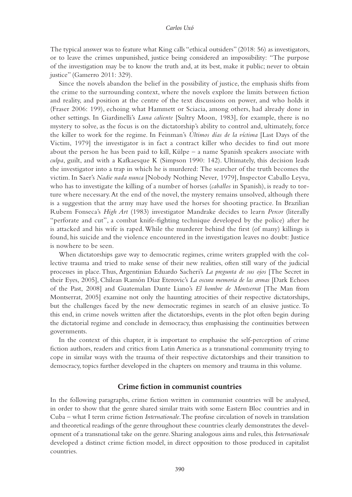The typical answer was to feature what King calls "ethical outsiders" (2018: 56) as investigators, or to leave the crimes unpunished, justice being considered an impossibility: "The purpose of the investigation may be to know the truth and, at its best, make it public; never to obtain justice" (Gamerro 2011: 329).

Since the novels abandon the belief in the possibility of justice, the emphasis shifts from the crime to the surrounding context, where the novels explore the limits between fiction and reality, and position at the centre of the text discussions on power, and who holds it (Fraser 2006: 199), echoing what Hammett or Sciacia, among others, had already done in other settings. In Giardinelli's *Luna caliente* [Sultry Moon, 1983], for example, there is no mystery to solve, as the focus is on the dictatorship's ability to control and, ultimately, force the killer to work for the regime. In Feinman's *Últimos días de la víctima* [Last Days of the Victim, 1979] the investigator is in fact a contract killer who decides to find out more about the person he has been paid to kill, Külpe – a name Spanish speakers associate with *culpa*, guilt, and with a Kafkaesque K (Simpson 1990: 142). Ultimately, this decision leads the investigator into a trap in which he is murdered: The searcher of the truth becomes the victim. In Saer's *Nadie nada nunca* [Nobody Nothing Never, 1979], Inspector Caballo Leyva, who has to investigate the killing of a number of horses (*caballos* in Spanish), is ready to torture where necessary. At the end of the novel, the mystery remains unsolved, although there is a suggestion that the army may have used the horses for shooting practice. In Brazilian Rubem Fonseca's *High Art* (1983) investigator Mandrake decides to learn *Percor* (literally "perforate and cut", a combat knife-fighting technique developed by the police) after he is attacked and his wife is raped. While the murderer behind the first (of many) killings is found, his suicide and the violence encountered in the investigation leaves no doubt: Justice is nowhere to be seen.

When dictatorships gave way to democratic regimes, crime writers grappled with the collective trauma and tried to make sense of their new realities, often still wary of the judicial processes in place. Thus, Argentinian Eduardo Sacheri's *La pregunta de sus ojos* [The Secret in their Eyes, 2005], Chilean Ramón Díaz Eterovic's *La oscura memoria de las armas* [Dark Echoes of the Past, 2008] and Guatemalan Dante Liano's *El hombre de Montserrat* [The Man from Montserrat, 2005] examine not only the haunting atrocities of their respective dictatorships, but the challenges faced by the new democratic regimes in search of an elusive justice. To this end, in crime novels written after the dictatorships, events in the plot often begin during the dictatorial regime and conclude in democracy, thus emphasising the continuities between governments.

In the context of this chapter, it is important to emphasise the self-perception of crime fiction authors, readers and critics from Latin America as a transnational community trying to cope in similar ways with the trauma of their respective dictatorships and their transition to democracy, topics further developed in the chapters on memory and trauma in this volume.

### **Crime fiction in communist countries**

In the following paragraphs, crime fiction written in communist countries will be analysed, in order to show that the genre shared similar traits with some Eastern Bloc countries and in Cuba – what I term crime fiction *Internationale*. The profuse circulation of novels in translation and theoretical readings of the genre throughout these countries clearly demonstrates the development of a transnational take on the genre. Sharing analogous aims and rules, this *Internationale* developed a distinct crime fiction model, in direct opposition to those produced in capitalist countries.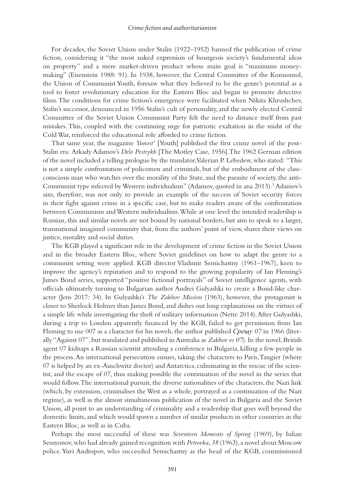For decades, the Soviet Union under Stalin (1922–1952) banned the publication of crime fiction, considering it "the most naked expression of bourgeois society's fundamental ideas on property" and a mere market-driven product whose main goal is "maximum moneymaking" (Eisenstein 1988: 91). In 1938, however, the Central Committee of the Komsomol, the Union of Communist Youth, foresaw what they believed to be the genre's potential as a tool to foster revolutionary education for the Eastern Bloc and began to promote detective films. The conditions for crime fiction's emergence were facilitated when Nikita Khrushchev, Stalin's successor, denounced in 1956 Stalin's cult of personality, and the newly elected Central Committee of the Soviet Union Communist Party felt the need to distance itself from past mistakes. This, coupled with the continuing urge for patriotic exaltation in the midst of the Cold War, reinforced the educational role afforded to crime fiction.

That same year, the magazine *Yunost'* [Youth] published the first crime novel of the post-Stalin era: Arkady Adamov's *Delo Pestrykh* [The Motley Case, 1956]. The 1962 German edition of the novel included a telling prologue by the translator, Valerian P. Lebedew, who stated: "This is not a simple confrontation of policemen and criminals, but of the embodiment of the classconscious man who watches over the morality of the State, and the parasite of society, the anti-Communist type infected by Western individualism" (Adamov, quoted in ana 2013).3 Adamov's aim, therefore, was not only to provide an example of the success of Soviet security forces in their fight against crime in a specific case, but to make readers aware of the confrontation between Communism and Western individualism. While at one level the intended readership is Russian, this and similar novels are not bound by national borders, but aim to speak to a larger, transnational imagined community that, from the authors' point of view, shares their views on justice, morality and social duties.

The KGB played a significant role in the development of crime fiction in the Soviet Union and in the broader Eastern Bloc, where Soviet guidelines on how to adapt the genre to a communist setting were applied. KGB director Vladimir Semichastny (1961–1967), keen to improve the agency's reputation and to respond to the growing popularity of Ian Fleming's James Bond series, supported "positive fictional portrayals" of Soviet intelligence agents, with officials ultimately turning to Bulgarian author Andrei Gulyashki to create a Bond-like character (Jens 2017: 34). In Gulyashki's *The Zakhov Mission* (1963), however, the protagonist is closer to Sherlock Holmes than James Bond, and dishes out long explanations on the virtues of a simple life while investigating the theft of military information (Nette 2014). After Gulyashki, during a trip to London apparently financed by the KGB, failed to get permission from Ian Fleming to use 007 as a character for his novels, the author published *Срещу 07* in 1966 (literally "Against 07", but translated and published in Australia as *Zakhov vs 07*). In the novel, British agent 07 kidnaps a Russian scientist attending a conference in Bulgaria, killing a few people in the process. An international persecution ensues, taking the characters to Paris, Tangier (where 07 is helped by an ex-Auschwitz doctor) and Antarctica, culminating in the rescue of the scientist, and the escape of 07, thus making possible the continuation of the novel in the series that would follow. The international pursuit, the diverse nationalities of the characters, the Nazi link (which, by extension, criminalises the West as a whole, portrayed as a continuation of the Nazi regime), as well as the almost simultaneous publication of the novel in Bulgaria and the Soviet Union, all point to an understanding of criminality and a readership that goes well beyond the domestic limits, and which would spawn a number of similar products in other countries in the Eastern Bloc, as well as in Cuba.

Perhaps the most successful of these was *Seventeen Moments of Spring* (1969), by Iulian Semyonov, who had already gained recognition with *Petrovka, 38* (1963), a novel about Moscow police. Yuri Andropov, who succeeded Semichastny as the head of the KGB, commissioned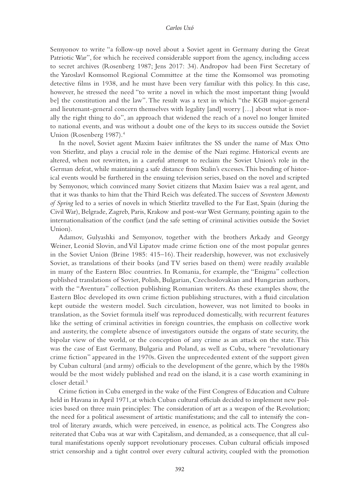Semyonov to write "a follow-up novel about a Soviet agent in Germany during the Great Patriotic War", for which he received considerable support from the agency, including access to secret archives (Rosenberg 1987; Jens 2017: 34). Andropov had been First Secretary of the Yaroslavl Komsomol Regional Committee at the time the Komsomol was promoting detective films in 1938, and he must have been very familiar with this policy. In this case, however, he stressed the need "to write a novel in which the most important thing [would be] the constitution and the law". The result was a text in which "the KGB major-general and lieutenant-general concern themselves with legality [and] worry […] about what is morally the right thing to do", an approach that widened the reach of a novel no longer limited to national events, and was without a doubt one of the keys to its success outside the Soviet Union (Rosenberg 1987).4

In the novel, Soviet agent Maxim Isaiev infiltrates the SS under the name of Max Otto von Stierlitz, and plays a crucial role in the demise of the Nazi regime. Historical events are altered, when not rewritten, in a careful attempt to reclaim the Soviet Union's role in the German defeat, while maintaining a safe distance from Stalin's excesses. This bending of historical events would be furthered in the ensuing television series, based on the novel and scripted by Semyonov, which convinced many Soviet citizens that Maxim Isaiev was a real agent, and that it was thanks to him that the Third Reich was defeated. The success of *Seventeen Moments of Spring* led to a series of novels in which Stierlitz travelled to the Far East, Spain (during the Civil War), Belgrade, Zagreb, Paris, Krakow and post-war West Germany, pointing again to the internationalisation of the conflict (and the safe setting of criminal activities outside the Soviet Union).

Adamov, Gulyashki and Semyonov, together with the brothers Arkady and Georgy Weiner, Leonid Slovin, and Vil Lipatov made crime fiction one of the most popular genres in the Soviet Union (Brine 1985: 415–16). Their readership, however, was not exclusively Soviet, as translations of their books (and TV series based on them) were readily available in many of the Eastern Bloc countries. In Romania, for example, the "Enigma" collection published translations of Soviet, Polish, Bulgarian, Czechoslovakian and Hungarian authors, with the "Aventura" collection publishing Romanian writers. As these examples show, the Eastern Bloc developed its own crime fiction publishing structures, with a fluid circulation kept outside the western model. Such circulation, however, was not limited to books in translation, as the Soviet formula itself was reproduced domestically, with recurrent features like the setting of criminal activities in foreign countries, the emphasis on collective work and austerity, the complete absence of investigators outside the organs of state security, the bipolar view of the world, or the conception of any crime as an attack on the state. This was the case of East Germany, Bulgaria and Poland, as well as Cuba, where "revolutionary crime fiction" appeared in the 1970s. Given the unprecedented extent of the support given by Cuban cultural (and army) officials to the development of the genre, which by the 1980s would be the most widely published and read on the island, it is a case worth examining in closer detail.<sup>5</sup>

Crime fiction in Cuba emerged in the wake of the First Congress of Education and Culture held in Havana in April 1971, at which Cuban cultural officials decided to implement new policies based on three main principles: The consideration of art as a weapon of the Revolution; the need for a political assessment of artistic manifestations; and the call to intensify the control of literary awards, which were perceived, in essence, as political acts. The Congress also reiterated that Cuba was at war with Capitalism, and demanded, as a consequence, that all cultural manifestations openly support revolutionary processes. Cuban cultural officials imposed strict censorship and a tight control over every cultural activity, coupled with the promotion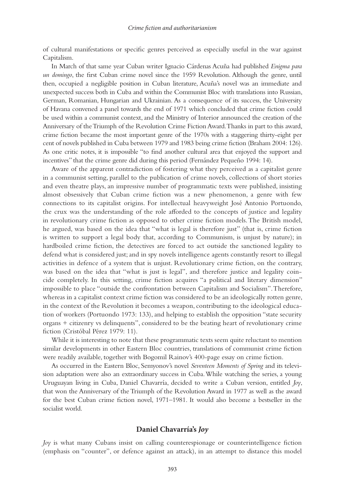of cultural manifestations or specific genres perceived as especially useful in the war against Capitalism.

In March of that same year Cuban writer Ignacio Cárdenas Acuña had published *Enigma para un domingo*, the first Cuban crime novel since the 1959 Revolution. Although the genre, until then, occupied a negligible position in Cuban literature, Acuña's novel was an immediate and unexpected success both in Cuba and within the Communist Bloc with translations into Russian, German, Romanian, Hungarian and Ukrainian. As a consequence of its success, the University of Havana convened a panel towards the end of 1971 which concluded that crime fiction could be used within a communist context, and the Ministry of Interior announced the creation of the Anniversary of the Triumph of the Revolution Crime Fiction Award. Thanks in part to this award, crime fiction became the most important genre of the 1970s with a staggering thirty-eight per cent of novels published in Cuba between 1979 and 1983 being crime fiction (Braham 2004: 126). As one critic notes, it is impossible "to find another cultural area that enjoyed the support and incentives" that the crime genre did during this period (Fernández Pequeño 1994: 14).

Aware of the apparent contradiction of fostering what they perceived as a capitalist genre in a communist setting, parallel to the publication of crime novels, collections of short stories and even theatre plays, an impressive number of programmatic texts were published, insisting almost obsessively that Cuban crime fiction was a new phenomenon, a genre with few connections to its capitalist origins. For intellectual heavyweight José Antonio Portuondo, the crux was the understanding of the role afforded to the concepts of justice and legality in revolutionary crime fiction as opposed to other crime fiction models. The British model, he argued, was based on the idea that "what is legal is therefore just" (that is, crime fiction is written to support a legal body that, according to Communism, is unjust by nature); in hardboiled crime fiction, the detectives are forced to act outside the sanctioned legality to defend what is considered just; and in spy novels intelligence agents constantly resort to illegal activities in defence of a system that is unjust. Revolutionary crime fiction, on the contrary, was based on the idea that "what is just is legal", and therefore justice and legality coincide completely. In this setting, crime fiction acquires "a political and literary dimension" impossible to place "outside the confrontation between Capitalism and Socialism". Therefore, whereas in a capitalist context crime fiction was considered to be an ideologically rotten genre, in the context of the Revolution it becomes a weapon, contributing to the ideological education of workers (Portuondo 1973: 133), and helping to establish the opposition "state security organs + citizenry vs delinquents", considered to be the beating heart of revolutionary crime fiction (Cristóbal Pérez 1979: 11).

While it is interesting to note that these programmatic texts seem quite reluctant to mention similar developments in other Eastern Bloc countries, translations of communist crime fiction were readily available, together with Bogomil Rainov's 400-page essay on crime fiction.

As occurred in the Eastern Bloc, Semyonov's novel *Seventeen Moments of Spring* and its television adaptation were also an extraordinary success in Cuba. While watching the series, a young Uruguayan living in Cuba, Daniel Chavarría, decided to write a Cuban version, entitled *Joy*, that won the Anniversary of the Triumph of the Revolution Award in 1977 as well as the award for the best Cuban crime fiction novel, 1971–1981. It would also become a bestseller in the socialist world.

#### **Daniel Chavarría's** *Joy*

*Joy* is what many Cubans insist on calling counterespionage or counterintelligence fiction (emphasis on "counter", or defence against an attack), in an attempt to distance this model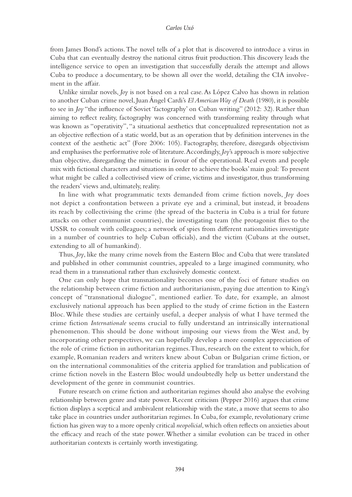#### *Carlos Uxó*

from James Bond's actions. The novel tells of a plot that is discovered to introduce a virus in Cuba that can eventually destroy the national citrus fruit production. This discovery leads the intelligence service to open an investigation that successfully derails the attempt and allows Cuba to produce a documentary, to be shown all over the world, detailing the CIA involvement in the affair.

Unlike similar novels, *Joy* is not based on a real case. As López Calvo has shown in relation to another Cuban crime novel, Juan Ángel Cardi's *El American Way of Death* (1980), it is possible to see in *Joy* "the influence of Soviet 'factography' on Cuban writing" (2012: 32). Rather than aiming to reflect reality, factography was concerned with transforming reality through what was known as "operativity", "a situational aesthetics that conceptualized representation not as an objective reflection of a static world, but as an operation that by definition intervenes in the context of the aesthetic act" (Fore 2006: 105). Factography, therefore, disregards objectivism and emphasises the performative role of literature. Accordingly, *Joy*'s approach is more subjective than objective, disregarding the mimetic in favour of the operational. Real events and people mix with fictional characters and situations in order to achieve the books' main goal: To present what might be called a collectivised view of crime, victims and investigator, thus transforming the readers' views and, ultimately, reality.

In line with what programmatic texts demanded from crime fiction novels, *Joy* does not depict a confrontation between a private eye and a criminal, but instead, it broadens its reach by collectivising the crime (the spread of the bacteria in Cuba is a trial for future attacks on other communist countries), the investigating team (the protagonist flies to the USSR to consult with colleagues; a network of spies from different nationalities investigate in a number of countries to help Cuban officials), and the victim (Cubans at the outset, extending to all of humankind).

Thus, *Joy*, like the many crime novels from the Eastern Bloc and Cuba that were translated and published in other communist countries, appealed to a large imagined community, who read them in a transnational rather than exclusively domestic context.

One can only hope that transnationality becomes one of the foci of future studies on the relationship between crime fiction and authoritarianism, paying due attention to King's concept of "transnational dialogue", mentioned earlier. To date, for example, an almost exclusively national approach has been applied to the study of crime fiction in the Eastern Bloc. While these studies are certainly useful, a deeper analysis of what I have termed the crime fiction *Internationale* seems crucial to fully understand an intrinsically international phenomenon. This should be done without imposing our views from the West and, by incorporating other perspectives, we can hopefully develop a more complex appreciation of the role of crime fiction in authoritarian regimes. Thus, research on the extent to which, for example, Romanian readers and writers knew about Cuban or Bulgarian crime fiction, or on the international commonalities of the criteria applied for translation and publication of crime fiction novels in the Eastern Bloc would undoubtedly help us better understand the development of the genre in communist countries.

Future research on crime fiction and authoritarian regimes should also analyse the evolving relationship between genre and state power. Recent criticism (Pepper 2016) argues that crime fiction displays a sceptical and ambivalent relationship with the state, a move that seems to also take place in countries under authoritarian regimes. In Cuba, for example, revolutionary crime fiction has given way to a more openly critical *neopolicial*, which often reflects on anxieties about the efficacy and reach of the state power. Whether a similar evolution can be traced in other authoritarian contexts is certainly worth investigating.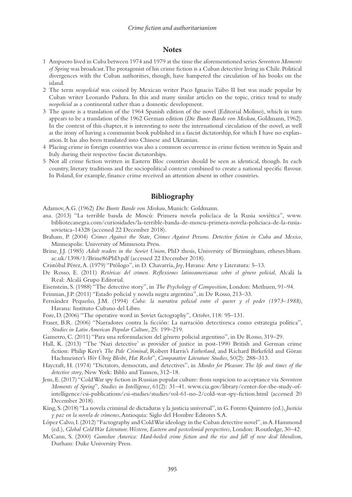#### **Notes**

- 1 Ampuero lived in Cuba between 1974 and 1979 at the time the aforementioned series *Seventeen Moments of Spring* was broadcast. The protagonist of his crime fiction is a Cuban detective living in Chile. Political divergences with the Cuban authorities, though, have hampered the circulation of his books on the island.
- 2 The term *neopolicial* was coined by Mexican writer Paco Ignacio Taibo II but was made popular by Cuban writer Leonardo Padura. In this and many similar articles on the topic, critics tend to study *neopolicial* as a continental rather than a domestic development.
- 3 The quote is a translation of the 1964 Spanish edition of the novel (Editorial Molino), which in turn appears to be a translation of the 1962 German edition (*Die Bunte Bande von Moskau*, Goldmann, 1962). In the context of this chapter, it is interesting to note the international circulation of the novel, as well as the irony of having a communist book published in a fascist dictatorship, for which I have no explanation. It has also been translated into Chinese and Ukrainian.
- 4 Placing crime in foreign countries was also a common occurrence in crime fiction written in Spain and Italy during their respective fascist dictatorships.
- 5 Not all crime fiction written in Eastern Bloc countries should be seen as identical, though. In each country, literary traditions and the sociopolitical context combined to create a national specific flavour. In Poland, for example, finance crime received an attention absent in other countries.

#### **Bibliography**

Adamov, A.G. (1962) *Die Bunte Bande von Moskau*, Munich: Goldmann.

- ana. (2013) "La terrible banda de Moscú: Primera novela policíaca de la Rusia soviética", [www.](http://www.bibliotecanegra.com) [bibliotecanegra.com/curiosidades/la-terrible-banda-de-moscu-primera-novela-policiaca-de-la-rusia](http://www.bibliotecanegra.com)[sovietica-14328](http://www.bibliotecanegra.com) (accessed 22 December 2018).
- Braham, P. (2004) *Crimes Against the State, Crimes Against Persons. Detective fiction in Cuba and Mexico*, Minneapolis: University of Minnesota Press.
- Brine, J.J. (1985) *Adult readers in the Soviet Union*, PhD thesis, University of Birmingham, etheses.bham. ac.uk/1398/1/Brine86PhD.pdf (accessed 22 December 2018).
- Cristóbal Pérez, A. (1979) "Prólogo", in D. Chavarría, *Joy*, Havana: Arte y Literatura: 5–13.
- De Rosso, E. (2011) *Retóricas del crimen. Reflexiones latinoamericanas sobre el género policial*, Alcalá la Real: Alcalá Grupo Editorial.
- Eisenstein, S. (1988) "The detective story", in *The Psychology of Composition*, London: Methuen, 91–94.
- Feinman, J.P. (2011) "Estado policial y novela negra argentina", in De Rosso, 213–33.
- Fernández Pequeño, J.M. (1994) *Cuba: la narrativa policial entre el querer y el poder (1973–1988)*, Havana: Instituto Cubano del Libro.
- Fore, D. (2006) "The operative word in Soviet factography", *October*, 118: 95–131.
- Fraser, B.R. (2006) "Narradores contra la ficción: La narración detectivesca como estrategia política", *Studies in Latin American Popular Culture*, 25: 199–219.
- Gamerro, C. (2011) "Para una reformulacion del género policial argentino", in De Rosso, 319–29.
- Hall, K. (2013) "The 'Nazi detective' as provider of justice in post-1990 British and German crime fiction: Philip Kerr's *The Pale Criminal*, Robert Harris's *Fatherland*, and Richard Birkefeld and Göran Hachmeister's *Wer Übrig Bleibt, Hat Recht*", *Comparative Literature Studies*, 50(2): 288–313.
- Haycraft, H. (1974) "Dictators, democrats, and detectives", in *Murder for Pleasure. The life and times of the detective story*, New York: Biblo and Tannen, 312–18.
- Jens, E. (2017) "Cold War spy fiction in Russian popular culture: from suspicion to acceptance via *Seventeen Moments of Spring*", *Studies in Intelligence*, 61(2): 31–41. [www.cia.gov/library/center-for-the-study-of](http://www.cia.gov)[intelligence/csi-publications/csi-studies/studies/vol-61-no-2/cold-war-spy-fiction.html](http://www.cia.gov) (accessed 20 December 2018).
- King, S. (2018) "La novela criminal de dictaduras y la justicia universal", in G. Forero Quintero (ed.), *Justicia y paz en la novela de crímenes*, Antioquia: Siglo del Hombre Editores S.A.
- López Calvo, I. (2012) "Factography and Cold War ideology in the Cuban detective novel", in A. Hammond (ed.), *Global Cold War Literature. Western, Eastern and postcolonial perspectives*, London: Routledge, 30–42.
- McCann, S. (2000) *Gumshoe America: Hard-boiled crime fiction and the rise and fall of new deal liberalism*, Durham: Duke University Press.